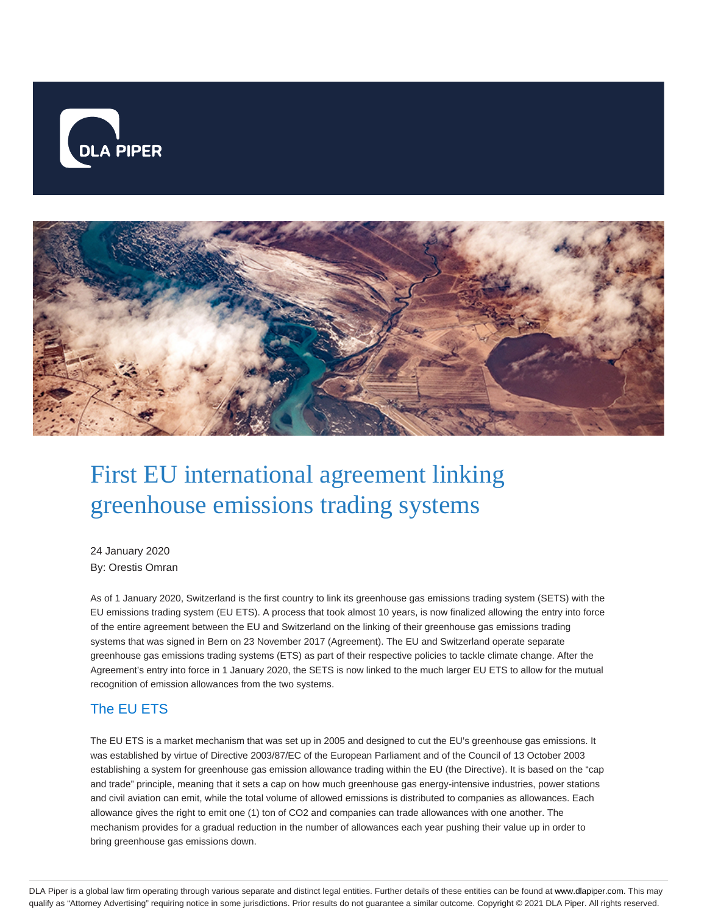



# First EU international agreement linking greenhouse emissions trading systems

24 January 2020 By: Orestis Omran

As of 1 January 2020, Switzerland is the first country to link its greenhouse gas emissions trading system (SETS) with the EU emissions trading system (EU ETS). A process that took almost 10 years, is now finalized allowing the entry into force of the entire agreement between the EU and Switzerland on the linking of their greenhouse gas emissions trading systems that was signed in Bern on 23 November 2017 (Agreement). The EU and Switzerland operate separate greenhouse gas emissions trading systems (ETS) as part of their respective policies to tackle climate change. After the Agreement's entry into force in 1 January 2020, the SETS is now linked to the much larger EU ETS to allow for the mutual recognition of emission allowances from the two systems.

# The EU ETS

The EU ETS is a market mechanism that was set up in 2005 and designed to cut the EU's greenhouse gas emissions. It was established by virtue of Directive 2003/87/EC of the European Parliament and of the Council of 13 October 2003 establishing a system for greenhouse gas emission allowance trading within the EU (the Directive). It is based on the "cap and trade" principle, meaning that it sets a cap on how much greenhouse gas energy-intensive industries, power stations and civil aviation can emit, while the total volume of allowed emissions is distributed to companies as allowances. Each allowance gives the right to emit one (1) ton of CO2 and companies can trade allowances with one another. The mechanism provides for a gradual reduction in the number of allowances each year pushing their value up in order to bring greenhouse gas emissions down.

DLA Piper is a global law firm operating through various separate and distinct legal entities. Further details of these entities can be found at www.dlapiper.com. This may qualify as "Attorney Advertising" requiring notice in some jurisdictions. Prior results do not guarantee a similar outcome. Copyright © 2021 DLA Piper. All rights reserved.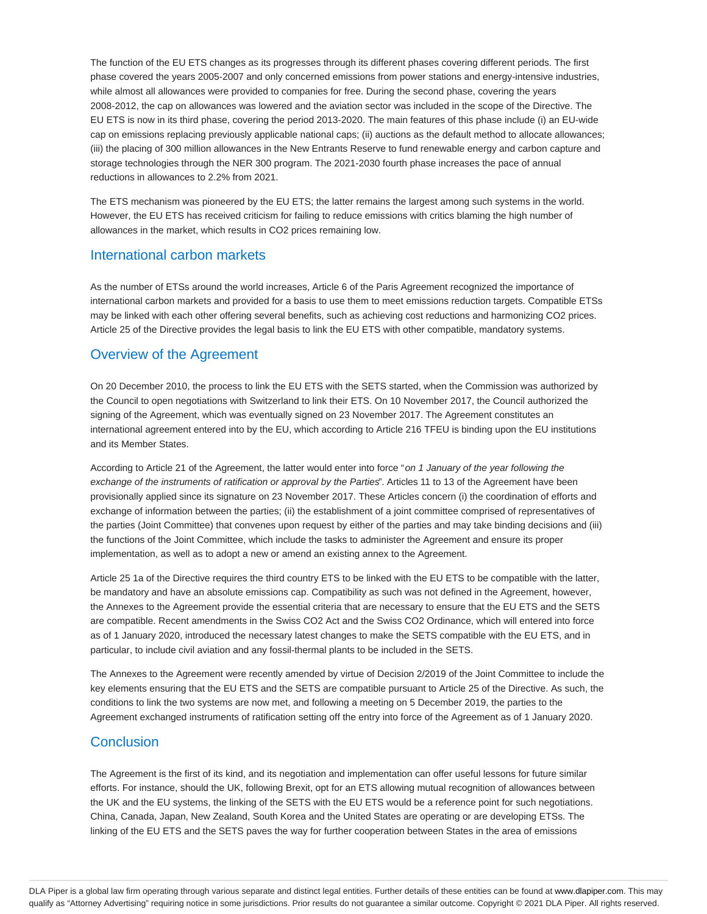The function of the EU ETS changes as its progresses through its different phases covering different periods. The first phase covered the years 2005-2007 and only concerned emissions from power stations and energy-intensive industries, while almost all allowances were provided to companies for free. During the second phase, covering the years 2008-2012, the cap on allowances was lowered and the aviation sector was included in the scope of the Directive. The EU ETS is now in its third phase, covering the period 2013-2020. The main features of this phase include (i) an EU-wide cap on emissions replacing previously applicable national caps; (ii) auctions as the default method to allocate allowances; (iii) the placing of 300 million allowances in the New Entrants Reserve to fund renewable energy and carbon capture and storage technologies through the NER 300 program. The 2021-2030 fourth phase increases the pace of annual reductions in allowances to 2.2% from 2021.

The ETS mechanism was pioneered by the EU ETS; the latter remains the largest among such systems in the world. However, the EU ETS has received criticism for failing to reduce emissions with critics blaming the high number of allowances in the market, which results in CO2 prices remaining low.

### International carbon markets

As the number of ETSs around the world increases, Article 6 of the Paris Agreement recognized the importance of international carbon markets and provided for a basis to use them to meet emissions reduction targets. Compatible ETSs may be linked with each other offering several benefits, such as achieving cost reductions and harmonizing CO2 prices. Article 25 of the Directive provides the legal basis to link the EU ETS with other compatible, mandatory systems.

## Overview of the Agreement

On 20 December 2010, the process to link the EU ETS with the SETS started, when the Commission was authorized by the Council to open negotiations with Switzerland to link their ETS. On 10 November 2017, the Council authorized the signing of the Agreement, which was eventually signed on 23 November 2017. The Agreement constitutes an international agreement entered into by the EU, which according to Article 216 TFEU is binding upon the EU institutions and its Member States.

According to Article 21 of the Agreement, the latter would enter into force "on 1 January of the year following the exchange of the instruments of ratification or approval by the Parties". Articles 11 to 13 of the Agreement have been provisionally applied since its signature on 23 November 2017. These Articles concern (i) the coordination of efforts and exchange of information between the parties; (ii) the establishment of a joint committee comprised of representatives of the parties (Joint Committee) that convenes upon request by either of the parties and may take binding decisions and (iii) the functions of the Joint Committee, which include the tasks to administer the Agreement and ensure its proper implementation, as well as to adopt a new or amend an existing annex to the Agreement.

Article 25 1a of the Directive requires the third country ETS to be linked with the EU ETS to be compatible with the latter, be mandatory and have an absolute emissions cap. Compatibility as such was not defined in the Agreement, however, the Annexes to the Agreement provide the essential criteria that are necessary to ensure that the EU ETS and the SETS are compatible. Recent amendments in the Swiss CO2 Act and the Swiss CO2 Ordinance, which will entered into force as of 1 January 2020, introduced the necessary latest changes to make the SETS compatible with the EU ETS, and in particular, to include civil aviation and any fossil-thermal plants to be included in the SETS.

The Annexes to the Agreement were recently amended by virtue of Decision 2/2019 of the Joint Committee to include the key elements ensuring that the EU ETS and the SETS are compatible pursuant to Article 25 of the Directive. As such, the conditions to link the two systems are now met, and following a meeting on 5 December 2019, the parties to the Agreement exchanged instruments of ratification setting off the entry into force of the Agreement as of 1 January 2020.

## **Conclusion**

The Agreement is the first of its kind, and its negotiation and implementation can offer useful lessons for future similar efforts. For instance, should the UK, following Brexit, opt for an ETS allowing mutual recognition of allowances between the UK and the EU systems, the linking of the SETS with the EU ETS would be a reference point for such negotiations. China, Canada, Japan, New Zealand, South Korea and the United States are operating or are developing ETSs. The linking of the EU ETS and the SETS paves the way for further cooperation between States in the area of emissions